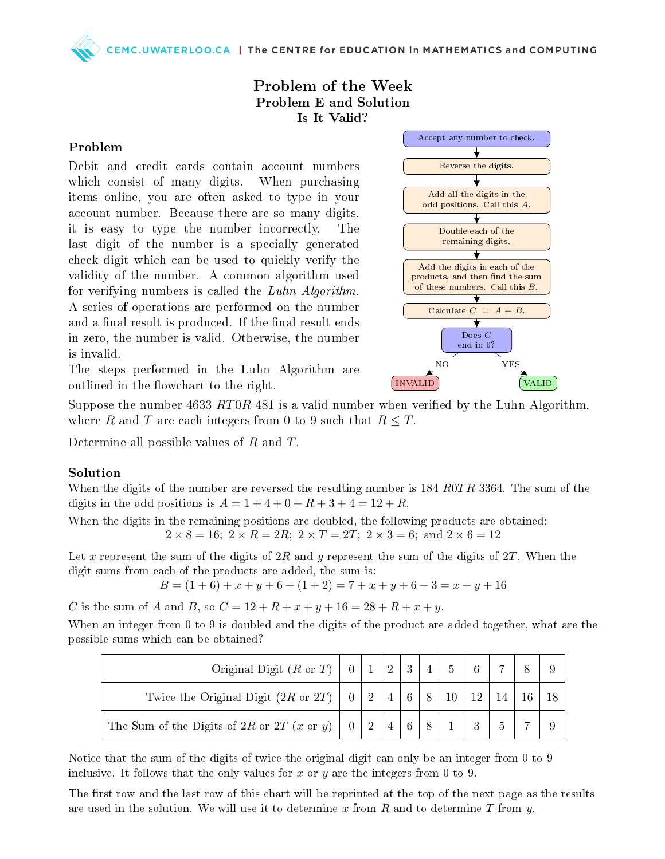CEMC.UWATERLOO.CA | The CENTRE for EDUCATION in MATHEMATICS and COMPUTING

## Problem of the Week Problem E and Solution Is It Valid?

## Problem

Debit and credit cards contain account numbers which consist of many digits. When purchasing items online, you are often asked to type in your account number. Because there are so many digits, it is easy to type the number incorrectly. The last digit of the number is a specially generated check digit which can be used to quickly verify the validity of the number. A common algorithm used for verifying numbers is called the Luhn Algorithm. A series of operations are performed on the number and a final result is produced. If the final result ends in zero, the number is valid. Otherwise, the number is invalid.



The steps performed in the Luhn Algorithm are outlined in the flowchart to the right.

Suppose the number 4633 RT0R 481 is a valid number when verified by the Luhn Algorithm, where R and T are each integers from 0 to 9 such that  $R \leq T$ .

Determine all possible values of R and T.

## Solution

When the digits of the number are reversed the resulting number is  $184 \, R0TR \, 3364$ . The sum of the digits in the odd positions is  $A = 1 + 4 + 0 + R + 3 + 4 = 12 + R$ .

When the digits in the remaining positions are doubled, the following products are obtained:  $2 \times 8 = 16$ ;  $2 \times R = 2R$ ;  $2 \times T = 2T$ ;  $2 \times 3 = 6$ ; and  $2 \times 6 = 12$ 

Let x represent the sum of the digits of  $2R$  and y represent the sum of the digits of  $2T$ . When the digit sums from each of the products are added, the sum is:

 $B = (1+6) + x + y + 6 + (1+2) = 7 + x + y + 6 + 3 = x + y + 16$ 

C is the sum of A and B, so  $C = 12 + R + x + y + 16 = 28 + R + x + y$ .

When an integer from 0 to 9 is doubled and the digits of the product are added together, what are the possible sums which can be obtained?

| Original Digit (R or T) $\parallel$ 0   1   2   3                 |  |            | 4 <sub>1</sub> |                  |               |  |  |
|-------------------------------------------------------------------|--|------------|----------------|------------------|---------------|--|--|
| Twice the Original Digit (2R or 2T) $\parallel$ 0   2   4   6   8 |  |            |                | $\vert 10 \vert$ | <sup>12</sup> |  |  |
| The Sum of the Digits of 2R or 2T (x or y) $\parallel$ 0          |  | $4 \mid 6$ |                |                  | 3             |  |  |

Notice that the sum of the digits of twice the original digit can only be an integer from 0 to 9 inclusive. It follows that the only values for x or y are the integers from 0 to 9.

The first row and the last row of this chart will be reprinted at the top of the next page as the results are used in the solution. We will use it to determine x from R and to determine T from  $y$ .